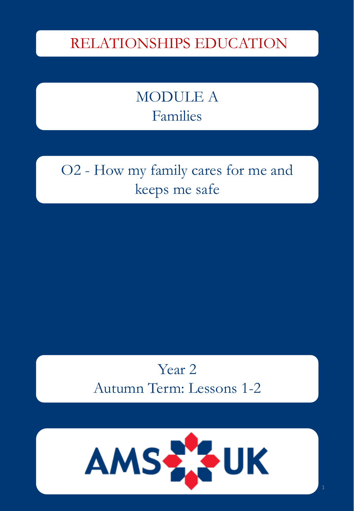RELATIONSHIPS EDUCATION

### MODULE A Families

O2 - How my family cares for me and keeps me safe

> Year 2 Autumn Term: Lessons 1-2

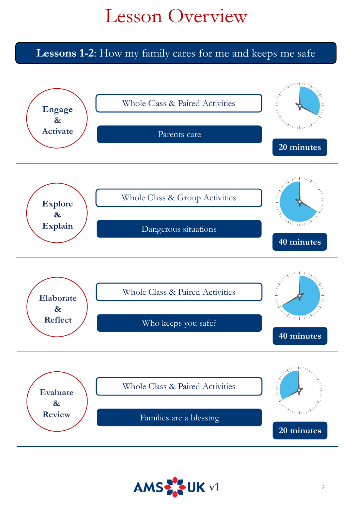# Lesson Overview

**Lessons 1-2**: How my family cares for me and keeps me safe



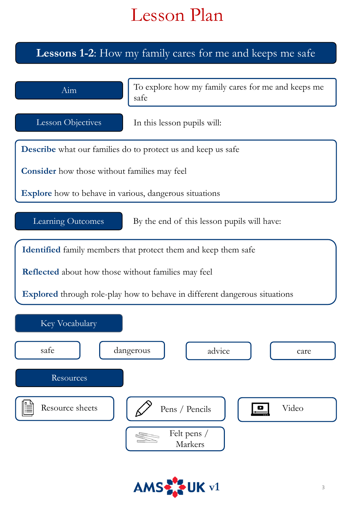### **Lessons 1-2**: How my family cares for me and keeps me safe



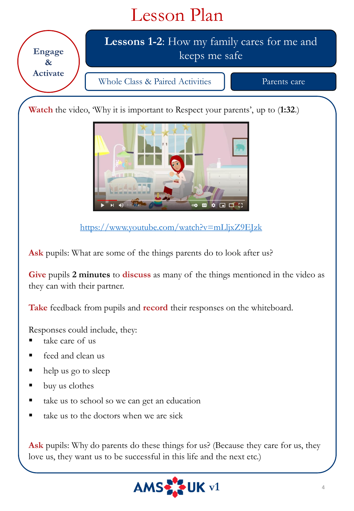**Engage & Activate** **Lessons 1-2**: How my family cares for me and keeps me safe

Whole Class & Paired Activities Parents care

**Watch** the video, 'Why it is important to Respect your parents', up to (**1:32**.)



<https://www.youtube.com/watch?v=mLljxZ9EJzk>

**Ask** pupils: What are some of the things parents do to look after us?

**Give** pupils **2 minutes** to **discuss** as many of the things mentioned in the video as they can with their partner.

**Take** feedback from pupils and **record** their responses on the whiteboard.

Responses could include, they:

- take care of us
- feed and clean us
- help us go to sleep
- buy us clothes
- take us to school so we can get an education
- take us to the doctors when we are sick

**Ask** pupils: Why do parents do these things for us? (Because they care for us, they love us, they want us to be successful in this life and the next etc.)

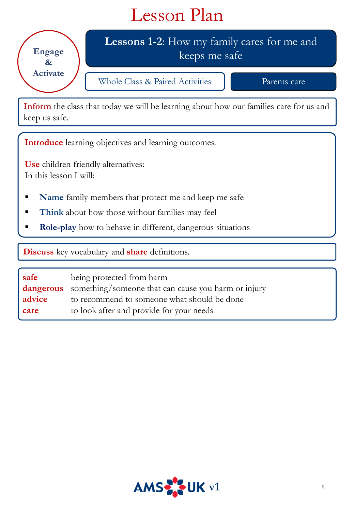

**Inform** the class that today we will be learning about how our families care for us and keep us safe.

**Introduce** learning objectives and learning outcomes.

**Use** children friendly alternatives: In this lesson I will:

- **Name** family members that protect me and keep me safe
- **Think** about how those without families may feel
- **Role-play** how to behave in different, dangerous situations

**Discuss** key vocabulary and **share** definitions.

**safe dangerous advice care**  being protected from harm something/someone that can cause you harm or injury to recommend to someone what should be done to look after and provide for your needs

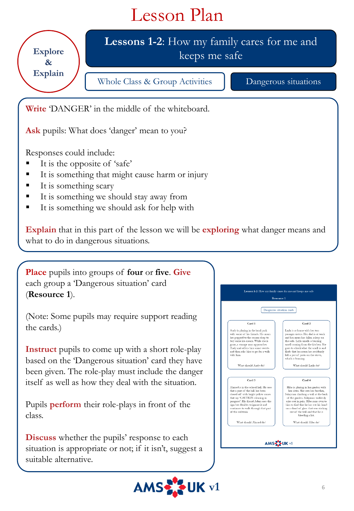**Write** 'DANGER' in the middle of the whiteboard. **Explore & Explain Lessons 1-2**: How my family cares for me and keeps me safe Whole Class & Group Activities Dangerous situations

**Ask** pupils: What does 'danger' mean to you?

Responses could include:

- $\blacksquare$  It is the opposite of 'safe'
- It is something that might cause harm or injury
- $\blacksquare$  It is something scary
- It is something we should stay away from
- $\blacksquare$  It is something we should ask for help with

**Explain** that in this part of the lesson we will be **exploring** what danger means and what to do in dangerous situations.

**Place** pupils into groups of **four** or **five**. **Give**  each group a 'Dangerous situation' card (**Resource 1**).

(Note: Some pupils may require support reading the cards.)

**Instruct** pupils to come up with a short role-play based on the 'Dangerous situation' card they have been given. The role-play must include the danger itself as well as how they deal with the situation.

Pupils **perform** their role-plays in front of the class.

**Discuss** whether the pupils' response to each situation is appropriate or not; if it isn't, suggest a suitable alternative.



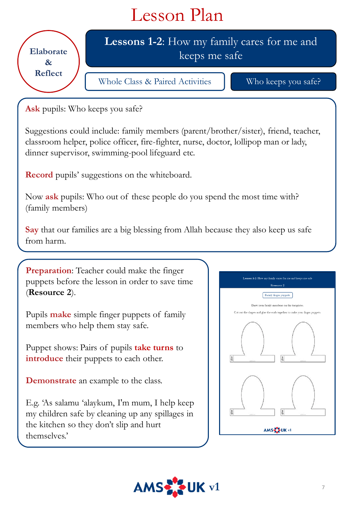

**Ask** pupils: Who keeps you safe?

Suggestions could include: family members (parent/brother/sister), friend, teacher, classroom helper, police officer, fire-fighter, nurse, doctor, lollipop man or lady, dinner supervisor, swimming-pool lifeguard etc.

**Record** pupils' suggestions on the whiteboard.

Now **ask** pupils: Who out of these people do you spend the most time with? (family members)

**Say** that our families are a big blessing from Allah because they also keep us safe from harm.

**Preparation**: Teacher could make the finger puppets before the lesson in order to save time (**Resource 2**).

Pupils **make** simple finger puppets of family members who help them stay safe.

Puppet shows: Pairs of pupils **take turns** to **introduce** their puppets to each other.

**Demonstrate** an example to the class.

E.g. 'As salamu 'alaykum, I'm mum, I help keep my children safe by cleaning up any spillages in the kitchen so they don't slip and hurt themselves.'



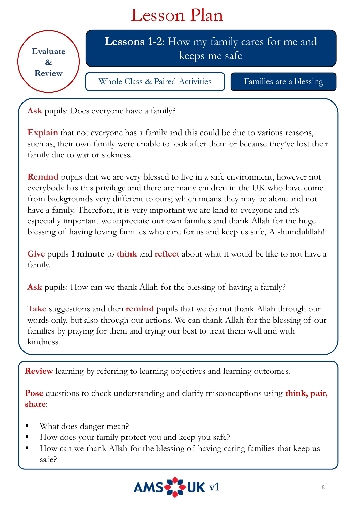

**Ask** pupils: Does everyone have a family?

**Explain** that not everyone has a family and this could be due to various reasons, such as, their own family were unable to look after them or because they've lost their family due to war or sickness.

**Remind** pupils that we are very blessed to live in a safe environment, however not everybody has this privilege and there are many children in the UK who have come from backgrounds very different to ours; which means they may be alone and not have a family. Therefore, it is very important we are kind to everyone and it's especially important we appreciate our own families and thank Allah for the huge blessing of having loving families who care for us and keep us safe, Al-humdulillah!

**Give** pupils **1 minute** to **think** and **reflect** about what it would be like to not have a family.

**Ask** pupils: How can we thank Allah for the blessing of having a family?

**Take** suggestions and then **remind** pupils that we do not thank Allah through our words only, but also through our actions. We can thank Allah for the blessing of our families by praying for them and trying our best to treat them well and with kindness.

**Review** learning by referring to learning objectives and learning outcomes.

**Pose** questions to check understanding and clarify misconceptions using **think, pair, share**:

- What does danger mean?
- How does your family protect you and keep you safe?
- How can we thank Allah for the blessing of having caring families that keep us safe?

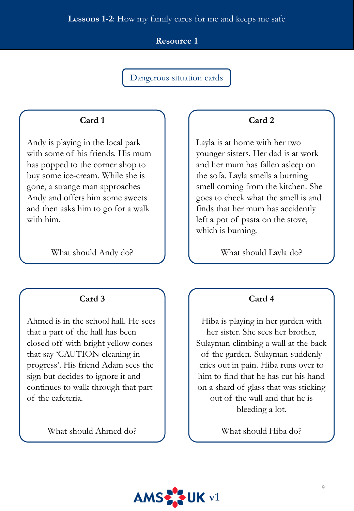#### **Resource 1**

Dangerous situation cards

#### **Card 1**

Andy is playing in the local park with some of his friends. His mum has popped to the corner shop to buy some ice-cream. While she is gone, a strange man approaches Andy and offers him some sweets and then asks him to go for a walk with him.

What should Andy do?

#### **Card 3**

Ahmed is in the school hall. He sees that a part of the hall has been closed off with bright yellow cones that say 'CAUTION cleaning in progress'. His friend Adam sees the sign but decides to ignore it and continues to walk through that part of the cafeteria.

What should Ahmed do?

#### **Card 2**

Layla is at home with her two younger sisters. Her dad is at work and her mum has fallen asleep on the sofa. Layla smells a burning smell coming from the kitchen. She goes to check what the smell is and finds that her mum has accidently left a pot of pasta on the stove, which is burning.

What should Layla do?

#### **Card 4**

Hiba is playing in her garden with her sister. She sees her brother, Sulayman climbing a wall at the back of the garden. Sulayman suddenly cries out in pain. Hiba runs over to him to find that he has cut his hand on a shard of glass that was sticking out of the wall and that he is bleeding a lot.

What should Hiba do?